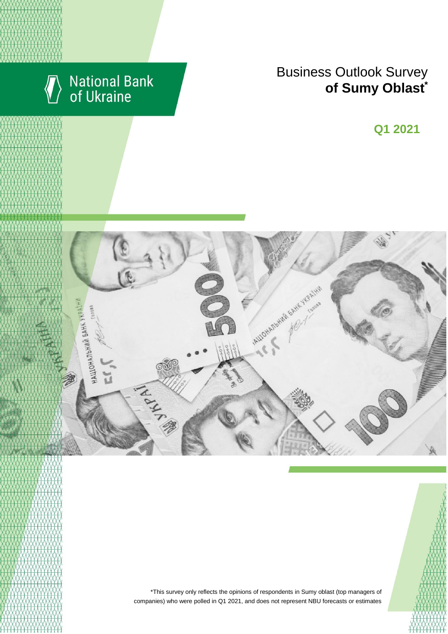

# National Bank<br>of Ukraine

## Business Outlook Survey **content managers of Sumy Oblast**<sup>\*</sup>

**Q2 2018 Q1 2021**



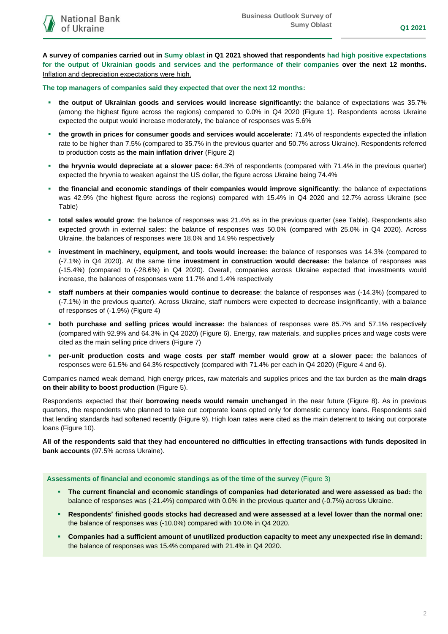**A survey of companies carried out in Sumy oblast in Q1 2021 showed that respondents had high positive expectations for the output of Ukrainian goods and services and the performance of their companies over the next 12 months.** Inflation and depreciation expectations were high.

**The top managers of companies said they expected that over the next 12 months:**

- **the output of Ukrainian goods and services would increase significantly:** the balance of expectations was 35.7% (among the highest figure across the regions) compared to 0.0% in Q4 2020 (Figure 1). Respondents across Ukraine expected the output would increase moderately, the balance of responses was 5.6%
- **the growth in prices for consumer goods and services would accelerate:** 71.4% of respondents expected the inflation rate to be higher than 7.5% (compared to 35.7% in the previous quarter and 50.7% across Ukraine). Respondents referred to production costs as **the main inflation driver** (Figure 2)
- **the hryvnia would depreciate at a slower pace:** 64.3% of respondents (compared with 71.4% in the previous quarter) expected the hryvnia to weaken against the US dollar, the figure across Ukraine being 74.4%
- **the financial and economic standings of their companies would improve significantly**: the balance of expectations was 42.9% (the highest figure across the regions) compared with 15.4% in Q4 2020 and 12.7% across Ukraine (see Table)
- **total sales would grow:** the balance of responses was 21.4% as in the previous quarter (see Table). Respondents also expected growth in external sales: the balance of responses was 50.0% (compared with 25.0% in Q4 2020). Across Ukraine, the balances of responses were 18.0% and 14.9% respectively
- **investment in machinery, equipment, and tools would increase:** the balance of responses was 14.3% (compared to (-7.1%) in Q4 2020). At the same time **investment in construction would decrease:** the balance of responses was (-15.4%) (compared to (-28.6%) in Q4 2020). Overall, companies across Ukraine expected that investments would increase, the balances of responses were 11.7% and 1.4% respectively
- **staff numbers at their companies would continue to decrease**: the balance of responses was (-14.3%) (compared to (-7.1%) in the previous quarter). Across Ukraine, staff numbers were expected to decrease insignificantly, with a balance of responses of (-1.9%) (Figure 4)
- **both purchase and selling prices would increase:** the balances of responses were 85.7% and 57.1% respectively (compared with 92.9% and 64.3% in Q4 2020) (Figure 6). Energy, raw materials, and supplies prices and wage costs were cited as the main selling price drivers (Figure 7)
- **per-unit production costs and wage costs per staff member would grow at a slower pace:** the balances of responses were 61.5% and 64.3% respectively (compared with 71.4% per each in Q4 2020) (Figure 4 and 6).

Companies named weak demand, high energy prices, raw materials and supplies prices and the tax burden as the **main drags on their ability to boost production** (Figure 5).

Respondents expected that their **borrowing needs would remain unchanged** in the near future (Figure 8). As in previous quarters, the respondents who planned to take out corporate loans opted only for domestic currency loans. Respondents said that lending standards had softened recently (Figure 9). High loan rates were cited as the main deterrent to taking out corporate loans (Figure 10).

**All of the respondents said that they had encountered no difficulties in effecting transactions with funds deposited in bank accounts** (97.5% across Ukraine).

#### **Assessments of financial and economic standings as of the time of the survey** (Figure 3)

- **The current financial and economic standings of companies had deteriorated and were assessed as bad:** the balance of responses was (-21.4%) compared with 0.0% in the previous quarter and (-0.7%) across Ukraine.
- **Respondents' finished goods stocks had decreased and were assessed at a level lower than the normal one:**  the balance of responses was (-10.0%) compared with 10.0% in Q4 2020.
- **Companies had a sufficient amount of unutilized production capacity to meet any unexpected rise in demand:** the balance of responses was 15.4% compared with 21.4% in Q4 2020.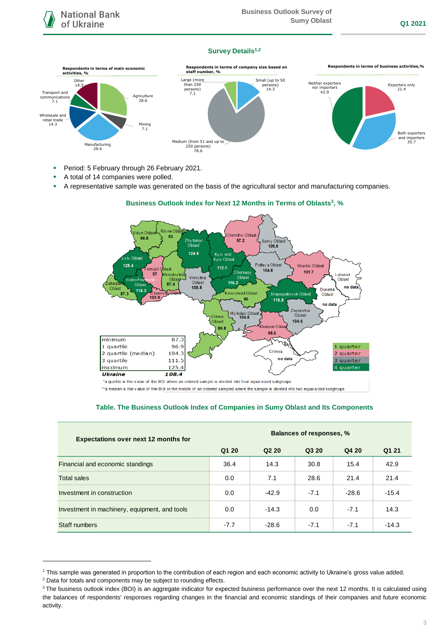#### **Survey Details1,2**



- **Period: 5 February through 26 February 2021.**
- A total of 14 companies were polled.
- A representative sample was generated on the basis of the agricultural sector and manufacturing companies.



#### **Business Outlook Index for Next 12 Months in Terms of Oblasts<sup>3</sup> , %**

\*a quartile is the value of the BOI where an ordered sample is divided into four equal-sized subgroups

\*\* a median is the value of the BOI in the middle of an ordered sampled where the sample is divided into two equal-sized subgroups

## **Table. The Business Outlook Index of Companies in Sumy Oblast and Its Components**

| <b>Expectations over next 12 months for</b>   | <b>Balances of responses, %</b> |                               |        |         |         |
|-----------------------------------------------|---------------------------------|-------------------------------|--------|---------|---------|
|                                               | Q1 20                           | Q <sub>2</sub> 2 <sub>0</sub> | Q3 20  | Q4 20   | Q1 21   |
| Financial and economic standings              | 36.4                            | 14.3                          | 30.8   | 15.4    | 42.9    |
| <b>Total sales</b>                            | 0.0                             | 7.1                           | 28.6   | 21.4    | 21.4    |
| Investment in construction                    | 0.0                             | $-42.9$                       | $-7.1$ | $-28.6$ | $-15.4$ |
| Investment in machinery, equipment, and tools | 0.0                             | $-14.3$                       | 0.0    | $-7.1$  | 14.3    |
| Staff numbers                                 | $-7.7$                          | $-28.6$                       | $-7.1$ | $-7.1$  | $-14.3$ |

-

<sup>1</sup> This sample was generated in proportion to the contribution of each region and each economic activity to Ukraine's gross value added.

<sup>&</sup>lt;sup>2</sup> Data for totals and components may be subject to rounding effects.

<sup>&</sup>lt;sup>3</sup> The business outlook index (BOI) is an aggregate indicator for expected business performance over the next 12 months. It is calculated using the balances of respondents' responses regarding changes in the financial and economic standings of their companies and future economic activity.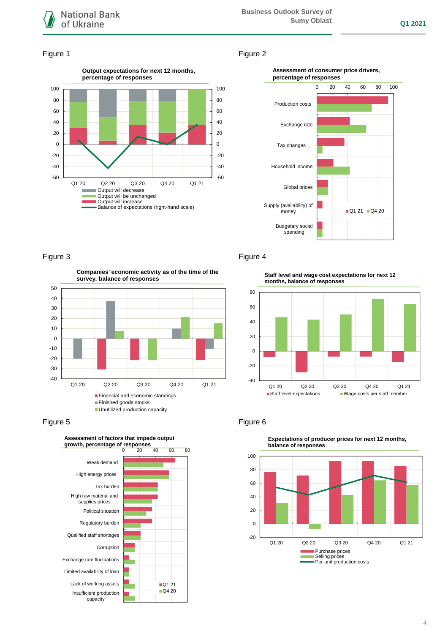

#### Figure 1 Figure 2







## Figure 3 **Figure 4**

**Companies' economic activity as of the time of the survey, balance of responses**



## Figure 5 **Figure 6** Figure 6



**Staff level and wage cost expectations for next 12 months, balance of responses**





**Expectations of producer prices for next 12 months,**